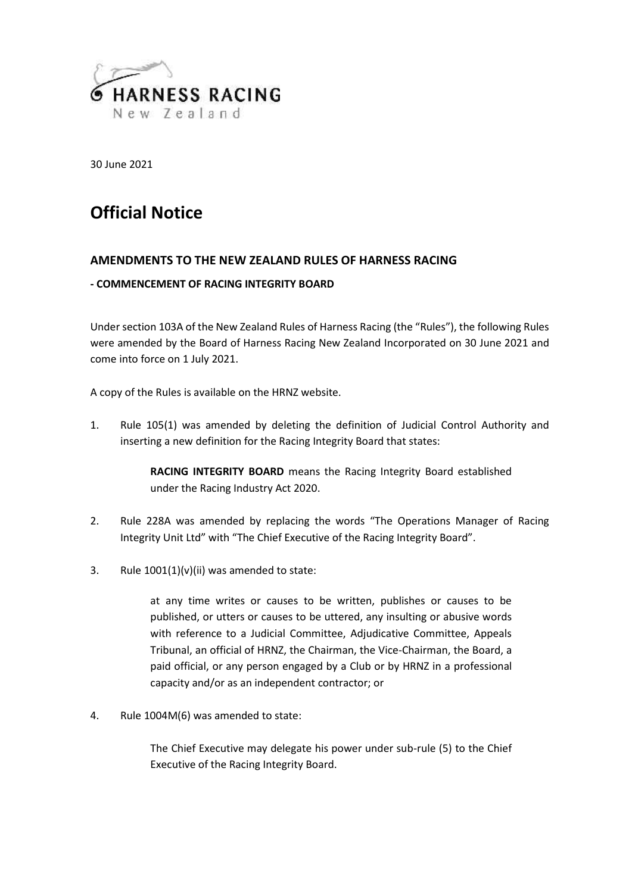

30 June 2021

# **Official Notice**

# **AMENDMENTS TO THE NEW ZEALAND RULES OF HARNESS RACING**

### **- COMMENCEMENT OF RACING INTEGRITY BOARD**

Under section 103A of the New Zealand Rules of Harness Racing (the "Rules"), the following Rules were amended by the Board of Harness Racing New Zealand Incorporated on 30 June 2021 and come into force on 1 July 2021.

A copy of the Rules is available on the HRNZ website.

1. Rule 105(1) was amended by deleting the definition of Judicial Control Authority and inserting a new definition for the Racing Integrity Board that states:

> **RACING INTEGRITY BOARD** means the Racing Integrity Board established under the Racing Industry Act 2020.

- 2. Rule 228A was amended by replacing the words "The Operations Manager of Racing Integrity Unit Ltd" with "The Chief Executive of the Racing Integrity Board".
- 3. Rule  $1001(1)(v)(ii)$  was amended to state:

at any time writes or causes to be written, publishes or causes to be published, or utters or causes to be uttered, any insulting or abusive words with reference to a Judicial Committee, Adjudicative Committee, Appeals Tribunal, an official of HRNZ, the Chairman, the Vice-Chairman, the Board, a paid official, or any person engaged by a Club or by HRNZ in a professional capacity and/or as an independent contractor; or

4. Rule 1004M(6) was amended to state:

The Chief Executive may delegate his power under sub-rule (5) to the Chief Executive of the Racing Integrity Board.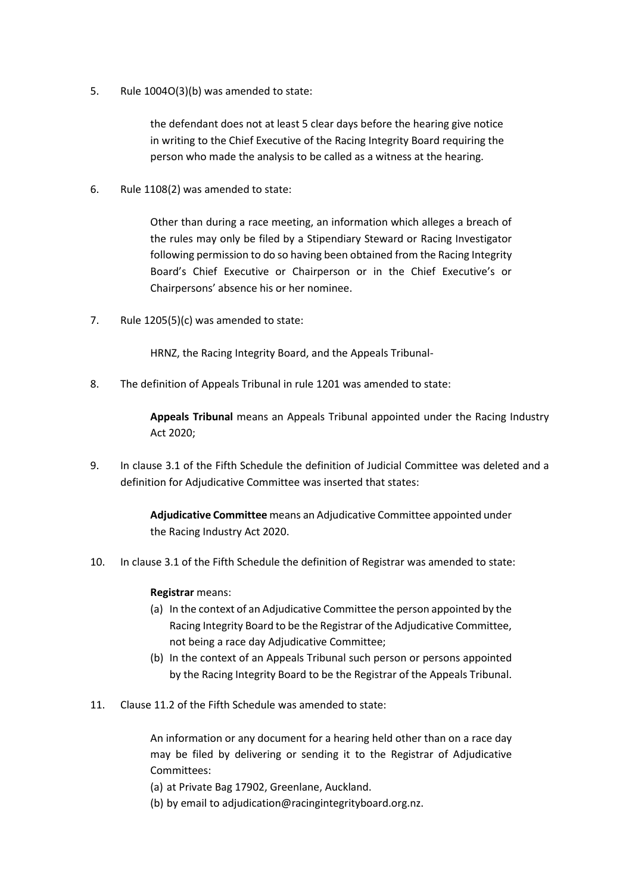5. Rule 1004O(3)(b) was amended to state:

the defendant does not at least 5 clear days before the hearing give notice in writing to the Chief Executive of the Racing Integrity Board requiring the person who made the analysis to be called as a witness at the hearing.

6. Rule 1108(2) was amended to state:

Other than during a race meeting, an information which alleges a breach of the rules may only be filed by a Stipendiary Steward or Racing Investigator following permission to do so having been obtained from the Racing Integrity Board's Chief Executive or Chairperson or in the Chief Executive's or Chairpersons' absence his or her nominee.

7. Rule 1205(5)(c) was amended to state:

HRNZ, the Racing Integrity Board, and the Appeals Tribunal-

8. The definition of Appeals Tribunal in rule 1201 was amended to state:

**Appeals Tribunal** means an Appeals Tribunal appointed under the Racing Industry Act 2020;

9. In clause 3.1 of the Fifth Schedule the definition of Judicial Committee was deleted and a definition for Adjudicative Committee was inserted that states:

> **Adjudicative Committee** means an Adjudicative Committee appointed under the Racing Industry Act 2020.

10. In clause 3.1 of the Fifth Schedule the definition of Registrar was amended to state:

#### **Registrar** means:

- (a) In the context of an Adjudicative Committee the person appointed by the Racing Integrity Board to be the Registrar of the Adjudicative Committee, not being a race day Adjudicative Committee;
- (b) In the context of an Appeals Tribunal such person or persons appointed by the Racing Integrity Board to be the Registrar of the Appeals Tribunal.
- 11. Clause 11.2 of the Fifth Schedule was amended to state:

An information or any document for a hearing held other than on a race day may be filed by delivering or sending it to the Registrar of Adjudicative Committees:

(a) at Private Bag 17902, Greenlane, Auckland.

(b) by email to adjudication@racingintegrityboard.org.nz.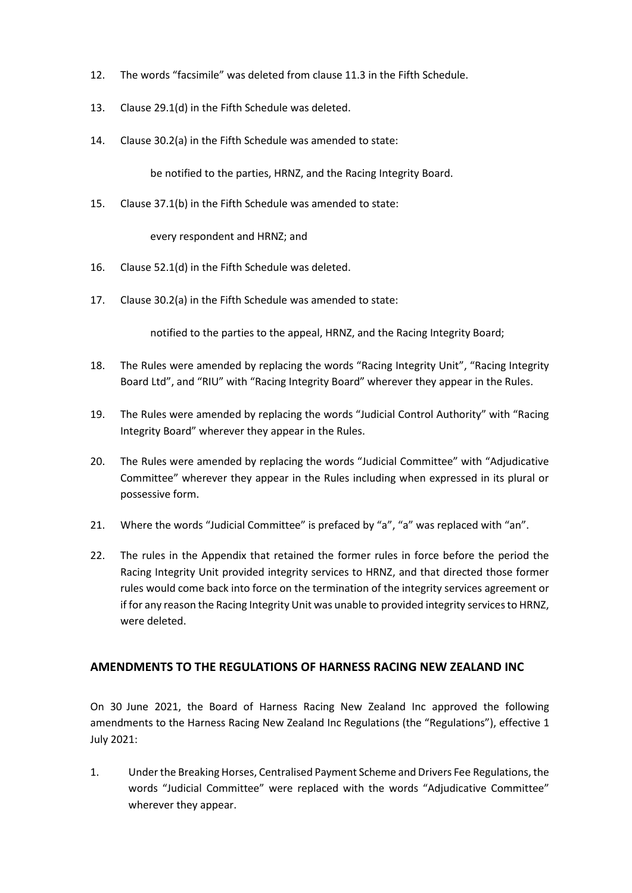- 12. The words "facsimile" was deleted from clause 11.3 in the Fifth Schedule.
- 13. Clause 29.1(d) in the Fifth Schedule was deleted.
- 14. Clause 30.2(a) in the Fifth Schedule was amended to state:

be notified to the parties, HRNZ, and the Racing Integrity Board.

15. Clause 37.1(b) in the Fifth Schedule was amended to state:

every respondent and HRNZ; and

- 16. Clause 52.1(d) in the Fifth Schedule was deleted.
- 17. Clause 30.2(a) in the Fifth Schedule was amended to state:

notified to the parties to the appeal, HRNZ, and the Racing Integrity Board;

- 18. The Rules were amended by replacing the words "Racing Integrity Unit", "Racing Integrity Board Ltd", and "RIU" with "Racing Integrity Board" wherever they appear in the Rules.
- 19. The Rules were amended by replacing the words "Judicial Control Authority" with "Racing Integrity Board" wherever they appear in the Rules.
- 20. The Rules were amended by replacing the words "Judicial Committee" with "Adjudicative Committee" wherever they appear in the Rules including when expressed in its plural or possessive form.
- 21. Where the words "Judicial Committee" is prefaced by "a", "a" was replaced with "an".
- 22. The rules in the Appendix that retained the former rules in force before the period the Racing Integrity Unit provided integrity services to HRNZ, and that directed those former rules would come back into force on the termination of the integrity services agreement or if for any reason the Racing Integrity Unit was unable to provided integrity services to HRNZ, were deleted.

# **AMENDMENTS TO THE REGULATIONS OF HARNESS RACING NEW ZEALAND INC**

On 30 June 2021, the Board of Harness Racing New Zealand Inc approved the following amendments to the Harness Racing New Zealand Inc Regulations (the "Regulations"), effective 1 July 2021:

1. Under the Breaking Horses, Centralised Payment Scheme and Drivers Fee Regulations, the words "Judicial Committee" were replaced with the words "Adjudicative Committee" wherever they appear.